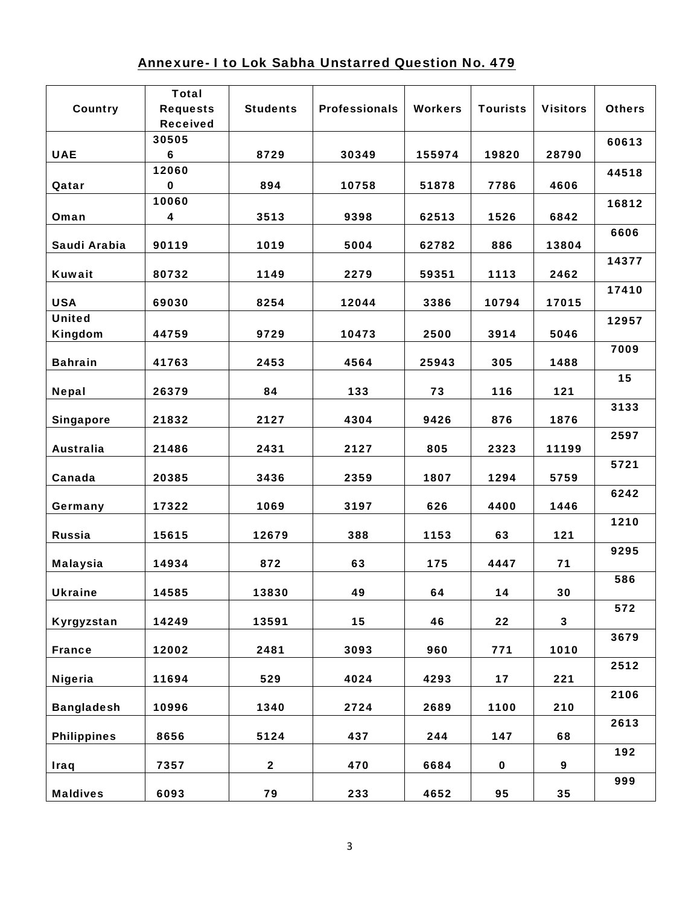## Annexure- I to Lok Sabha Unstarred Question No. 479

| Country            | <b>Total</b><br><b>Requests</b> | <b>Students</b> | <b>Professionals</b> | <b>Workers</b> | <b>Tourists</b> | <b>Visitors</b> | <b>Others</b> |
|--------------------|---------------------------------|-----------------|----------------------|----------------|-----------------|-----------------|---------------|
|                    | <b>Received</b>                 |                 |                      |                |                 |                 |               |
|                    | 30505                           |                 |                      |                |                 |                 | 60613         |
| <b>UAE</b>         | 6                               | 8729            | 30349                | 155974         | 19820           | 28790           |               |
|                    | 12060                           |                 |                      |                |                 |                 | 44518         |
| Qatar              | $\mathbf 0$                     | 894             | 10758                | 51878          | 7786            | 4606            |               |
|                    | 10060                           |                 |                      |                |                 |                 | 16812         |
| Oman               | 4                               | 3513            | 9398                 | 62513          | 1526            | 6842            |               |
| Saudi Arabia       | 90119                           | 1019            | 5004                 | 62782          | 886             | 13804           | 6606          |
| <b>Kuwait</b>      | 80732                           | 1149            | 2279                 | 59351          | 1113            | 2462            | 14377         |
| <b>USA</b>         | 69030                           | 8254            | 12044                | 3386           | 10794           | 17015           | 17410         |
| <b>United</b>      |                                 |                 |                      |                |                 |                 | 12957         |
| Kingdom            | 44759                           | 9729            | 10473                | 2500           | 3914            | 5046            |               |
| <b>Bahrain</b>     | 41763                           | 2453            | 4564                 | 25943          | 305             | 1488            | 7009          |
|                    |                                 |                 |                      |                |                 |                 | 15            |
| <b>Nepal</b>       | 26379                           | 84              | 133                  | 73             | 116             | 121             |               |
|                    |                                 |                 |                      |                |                 |                 | 3133          |
| <b>Singapore</b>   | 21832                           | 2127            | 4304                 | 9426           | 876             | 1876            |               |
| <b>Australia</b>   | 21486                           | 2431            | 2127                 | 805            | 2323            | 11199           | 2597          |
|                    |                                 |                 |                      |                |                 |                 | 5721          |
| Canada             | 20385                           | 3436            | 2359                 | 1807           | 1294            | 5759            |               |
|                    |                                 |                 |                      |                |                 |                 | 6242          |
| Germany            | 17322                           | 1069            | 3197                 | 626            | 4400            | 1446            |               |
| <b>Russia</b>      | 15615                           | 12679           | 388                  | 1153           | 63              | 121             | 1210          |
| <b>Malaysia</b>    | 14934                           | 872             | 63                   | 175            | 4447            | 71              | 9295          |
| <b>Ukraine</b>     | 14585                           | 13830           | 49                   | 64             | 14              | 30              | 586           |
| Kyrgyzstan         | 14249                           | 13591           | 15                   | 46             | 22              | 3               | 572           |
| <b>France</b>      | 12002                           | 2481            | 3093                 | 960            | 771             | 1010            | 3679          |
| <b>Nigeria</b>     | 11694                           | 529             | 4024                 | 4293           | 17              | 221             | 2512          |
| <b>Bangladesh</b>  | 10996                           | 1340            | 2724                 | 2689           | 1100            | 210             | 2106          |
| <b>Philippines</b> | 8656                            | 5124            | 437                  | 244            | 147             | 68              | 2613          |
| <b>Iraq</b>        | 7357                            | $\mathbf{2}$    | 470                  | 6684           | 0               | 9               | 192           |
|                    |                                 |                 |                      |                |                 |                 | 999           |
| <b>Maldives</b>    | 6093                            | 79              | 233                  | 4652           | 95              | 35              |               |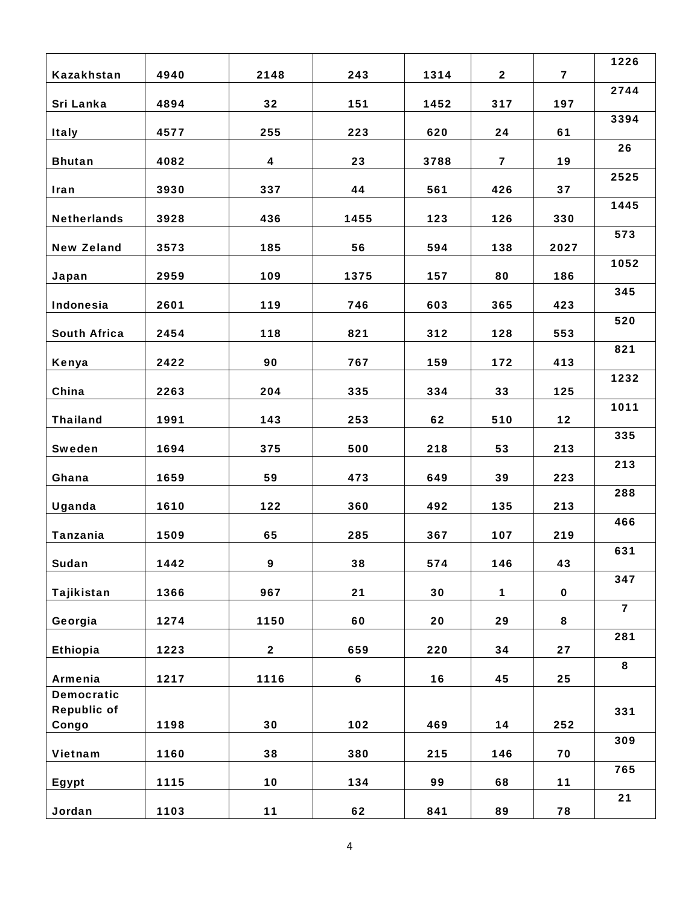|                             |      |                |      |      |                |                         | 1226           |
|-----------------------------|------|----------------|------|------|----------------|-------------------------|----------------|
| Kazakhstan                  | 4940 | 2148           | 243  | 1314 | $\overline{2}$ | $\overline{\mathbf{z}}$ |                |
| Sri Lanka                   | 4894 | 32             | 151  | 1452 | 317            | 197                     | 2744           |
| <b>Italy</b>                | 4577 | 255            | 223  | 620  | 24             | 61                      | 3394           |
| <b>Bhutan</b>               | 4082 | 4              | 23   | 3788 | 7              | 19                      | 26             |
|                             |      |                |      |      |                |                         | 2525           |
| Iran                        | 3930 | 337            | 44   | 561  | 426            | 37                      | 1445           |
| <b>Netherlands</b>          | 3928 | 436            | 1455 | 123  | 126            | 330                     |                |
| <b>New Zeland</b>           | 3573 | 185            | 56   | 594  | 138            | 2027                    | 573            |
| Japan                       | 2959 | 109            | 1375 | 157  | 80             | 186                     | 1052           |
| Indonesia                   | 2601 | 119            | 746  | 603  | 365            | 423                     | 345            |
| <b>South Africa</b>         | 2454 | 118            | 821  | 312  | 128            | 553                     | 520            |
| Kenya                       | 2422 | 90             | 767  | 159  | 172            | 413                     | 821            |
| China                       | 2263 | 204            | 335  | 334  | 33             | 125                     | 1232           |
|                             |      |                |      |      |                |                         | 1011           |
| <b>Thailand</b>             | 1991 | 143            | 253  | 62   | 510            | 12                      | 335            |
| Sweden                      | 1694 | 375            | 500  | 218  | 53             | 213                     |                |
| Ghana                       | 1659 | 59             | 473  | 649  | 39             | 223                     | 213            |
| Uganda                      | 1610 | 122            | 360  | 492  | 135            | 213                     | 288            |
| Tanzania                    | 1509 | 65             | 285  | 367  | 107            | 219                     | 466            |
| Sudan                       | 1442 | 9              | 38   | 574  | 146            | 43                      | 631            |
| Tajikistan                  | 1366 | 967            | 21   | 30   | $\mathbf 1$    | $\mathbf{o}$            | 347            |
| Georgia                     | 1274 | 1150           | 60   | 20   | 29             | 8                       | $\overline{7}$ |
| Ethiopia                    | 1223 | $\overline{2}$ | 659  | 220  | 34             | 27                      | 281            |
| Armenia                     | 1217 | 1116           | 6    | 16   | 45             | 25                      | 8              |
| <b>Democratic</b>           |      |                |      |      |                |                         |                |
| <b>Republic of</b><br>Congo | 1198 | 30             | 102  | 469  | 14             | 252                     | 331            |
| Vietnam                     | 1160 | 38             | 380  | 215  | 146            | 70                      | 309            |
|                             |      |                |      |      |                |                         | 765            |
| Egypt                       | 1115 | 10             | 134  | 99   | 68             | 11                      |                |
| <b>Jordan</b>               | 1103 | 11             | 62   | 841  | 89             | 78                      | 21             |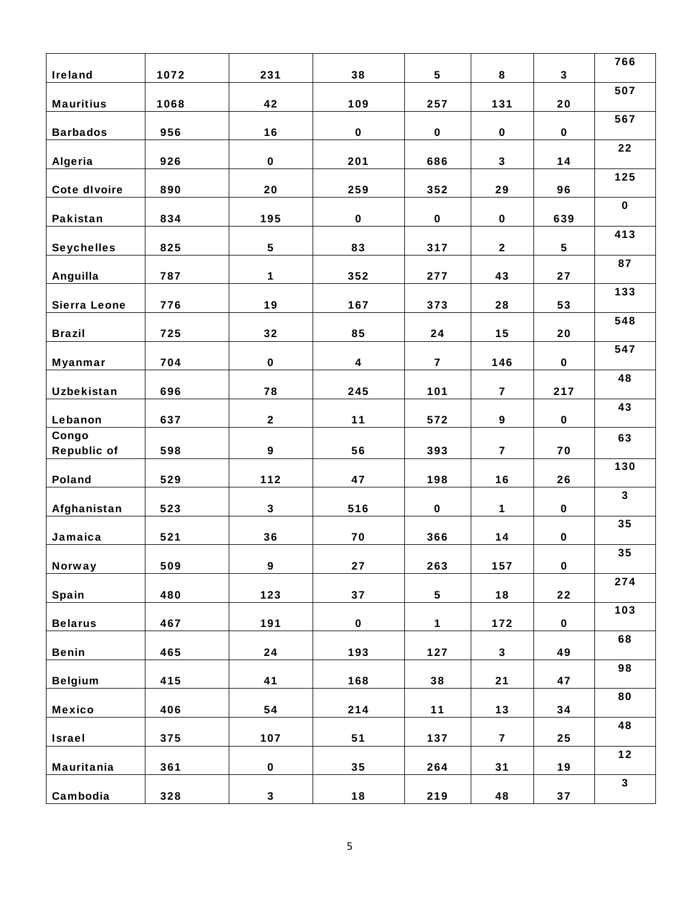| <b>Ireland</b>      | 1072 | 231          | 38          | 5           | 8                       | 3           | 766                     |
|---------------------|------|--------------|-------------|-------------|-------------------------|-------------|-------------------------|
| <b>Mauritius</b>    | 1068 | 42           | 109         | 257         | 131                     | 20          | 507                     |
|                     |      |              |             |             |                         |             | 567                     |
| <b>Barbados</b>     | 956  | 16           | $\mathbf 0$ | $\mathbf 0$ | $\mathbf 0$             | $\mathbf 0$ |                         |
| <b>Algeria</b>      | 926  | $\mathbf 0$  | 201         | 686         | $\mathbf{3}$            | 14          | 22                      |
|                     |      |              |             |             |                         |             | 125                     |
| <b>Cote divoire</b> | 890  | 20           | 259         | 352         | 29                      | 96          | $\mathbf 0$             |
| Pakistan            | 834  | 195          | $\mathbf 0$ | $\mathbf 0$ | $\mathbf 0$             | 639         |                         |
| <b>Seychelles</b>   | 825  | 5            | 83          | 317         | $\mathbf{2}$            | 5           | 413                     |
|                     |      |              |             |             |                         |             | 87                      |
| Anguilla            | 787  | $\mathbf{1}$ | 352         | 277         | 43                      | 27          |                         |
| <b>Sierra Leone</b> | 776  | 19           | 167         | 373         | 28                      | 53          | 133                     |
|                     |      |              |             |             |                         |             | 548                     |
| <b>Brazil</b>       | 725  | 32           | 85          | 24          | 15                      | 20          | 547                     |
| <b>Myanmar</b>      | 704  | $\mathbf 0$  | 4           | 7           | 146                     | $\mathbf 0$ |                         |
|                     |      |              |             |             |                         |             | 48                      |
| <b>Uzbekistan</b>   | 696  | 78           | 245         | 101         | $\overline{\mathbf{z}}$ | 217         | 43                      |
| Lebanon             | 637  | $\mathbf{2}$ | 11          | 572         | 9                       | $\mathbf 0$ |                         |
| Congo               | 598  | 9            | 56          | 393         | $\overline{\mathbf{z}}$ | 70          | 63                      |
| <b>Republic of</b>  |      |              |             |             |                         |             | 130                     |
| Poland              | 529  | 112          | 47          | 198         | 16                      | 26          |                         |
| Afghanistan         | 523  | $\mathbf{3}$ | 516         | $\mathbf 0$ | $\mathbf{1}$            | $\mathbf 0$ | $\overline{\mathbf{3}}$ |
|                     |      |              |             |             |                         |             | 35                      |
| Jamaica             | 521  | 36           | 70          | 366         | 14                      | $\mathbf 0$ | 35                      |
| <b>Norway</b>       | 509  | 9            | 27          | 263         | 157                     | $\mathbf 0$ |                         |
|                     |      |              |             |             |                         |             | 274                     |
| <b>Spain</b>        | 480  | 123          | 37          | 5           | 18                      | 22          | 103                     |
| <b>Belarus</b>      | 467  | 191          | $\mathbf 0$ | $\mathbf 1$ | 172                     | $\mathbf 0$ |                         |
| <b>Benin</b>        | 465  | 24           | 193         | 127         | $\mathbf{3}$            | 49          | 68                      |
|                     |      |              |             |             |                         |             | 98                      |
| <b>Belgium</b>      | 415  | 41           | 168         | 38          | 21                      | 47          |                         |
| <b>Mexico</b>       | 406  | 54           | 214         | 11          | 13                      | 34          | 80                      |
|                     |      |              |             |             |                         |             | 48                      |
| <b>Israel</b>       | 375  | 107          | 51          | 137         | $\overline{\mathbf{z}}$ | 25          | 12                      |
| <b>Mauritania</b>   | 361  | $\mathbf 0$  | 35          | 264         | 31                      | 19          |                         |
| Cambodia            | 328  | $\mathbf{3}$ | 18          | 219         | 48                      | 37          | $\mathbf{3}$            |
|                     |      |              |             |             |                         |             |                         |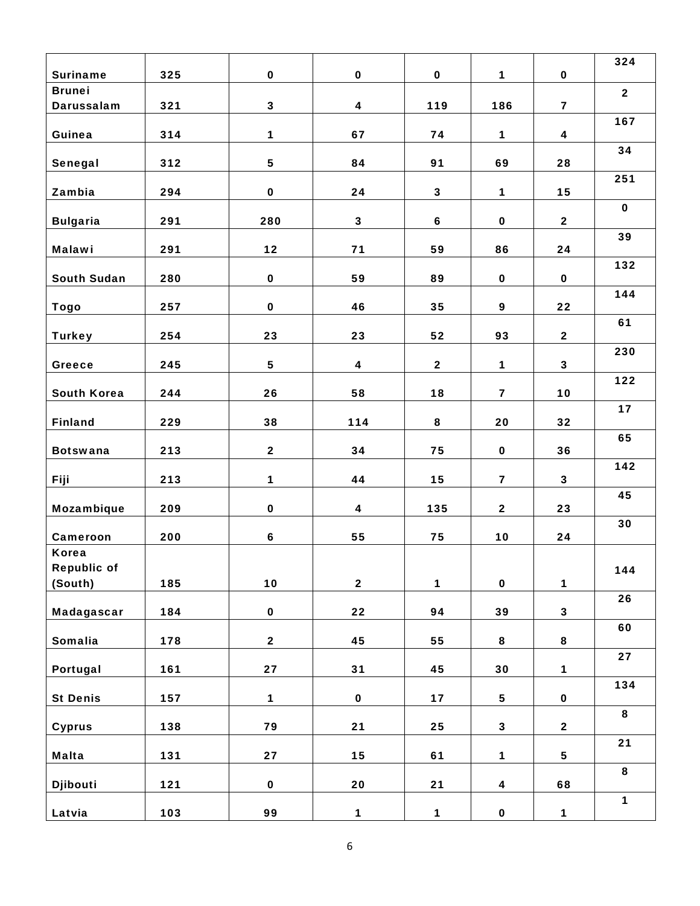| <b>Suriname</b>                    | 325 | $\mathbf 0$    | $\mathbf 0$      | 0            | $\mathbf{1}$            | $\mathbf 0$             | 324            |
|------------------------------------|-----|----------------|------------------|--------------|-------------------------|-------------------------|----------------|
| <b>Brunei</b>                      |     |                |                  |              |                         |                         | $\overline{2}$ |
| Darussalam                         | 321 | 3              | $\boldsymbol{4}$ | 119          | 186                     | $\overline{\mathbf{z}}$ |                |
| Guinea                             | 314 | $\mathbf{1}$   | 67               | 74           | $\mathbf{1}$            | 4                       | 167            |
| Senegal                            | 312 | 5              | 84               | 91           | 69                      | 28                      | 34             |
| Zambia                             | 294 | $\mathbf 0$    | 24               | $\mathbf{3}$ | $\mathbf{1}$            | 15                      | 251            |
| <b>Bulgaria</b>                    | 291 | 280            | $\mathbf{3}$     | 6            | $\mathbf o$             | $\mathbf{2}$            | $\mathbf 0$    |
| <b>Malawi</b>                      | 291 | 12             | 71               | 59           | 86                      | 24                      | 39             |
| <b>South Sudan</b>                 | 280 | $\mathbf{o}$   | 59               | 89           | $\mathbf 0$             | $\mathbf 0$             | 132            |
| <b>Togo</b>                        | 257 | $\mathbf 0$    | 46               | 35           | 9                       | 22                      | 144            |
|                                    |     | 23             | 23               |              | 93                      |                         | 61             |
| <b>Turkey</b>                      | 254 |                |                  | 52           |                         | $\overline{2}$          | 230            |
| Greece                             | 245 | 5              | $\boldsymbol{4}$ | $\mathbf{2}$ | $\mathbf 1$             | $\mathbf{3}$            | 122            |
| <b>South Korea</b>                 | 244 | 26             | 58               | 18           | $\overline{\mathbf{z}}$ | 10                      | 17             |
| <b>Finland</b>                     | 229 | 38             | 114              | 8            | 20                      | 32                      | 65             |
| <b>Botswana</b>                    | 213 | $\mathbf{2}$   | 34               | 75           | $\mathbf o$             | 36                      |                |
| <b>Fiji</b>                        | 213 | $\mathbf{1}$   | 44               | 15           | $\overline{\mathbf{z}}$ | $\mathbf{3}$            | 142            |
| Mozambique                         | 209 | $\mathbf 0$    | 4                | 135          | $\mathbf{2}$            | 23                      | 45             |
| Cameroon                           | 200 | 6              | 55               | 75           | 10                      | 24                      | 30             |
| <b>Korea</b><br><b>Republic of</b> |     |                |                  |              |                         |                         | 144            |
| (South)                            | 185 | 10             | $\mathbf{2}$     | $\mathbf 1$  | $\mathbf{o}$            | $\mathbf 1$             |                |
| Madagascar                         | 184 | $\mathbf{o}$   | 22               | 94           | 39                      | $\mathbf{3}$            | 26             |
| Somalia                            | 178 | $\overline{2}$ | 45               | 55           | 8                       | 8                       | 60             |
| Portugal                           | 161 | $27\,$         | 31               | 45           | 30                      | $\mathbf 1$             | 27             |
| <b>St Denis</b>                    | 157 | $\mathbf{1}$   | $\mathbf 0$      | 17           | 5                       | $\mathbf o$             | 134            |
| <b>Cyprus</b>                      | 138 | 79             | 21               | 25           | $\mathbf{3}$            | $\mathbf{2}$            | 8              |
| <b>Malta</b>                       | 131 | 27             | 15               | 61           | $\mathbf 1$             | 5                       | 21             |
| Djibouti                           | 121 | $\mathbf 0$    | 20               | 21           | $\boldsymbol{4}$        | 68                      | 8              |
|                                    |     |                |                  |              |                         |                         | $\mathbf{1}$   |
| Latvia                             | 103 | 99             | $\mathbf 1$      | $\mathbf{1}$ | $\mathbf 0$             | $\mathbf 1$             |                |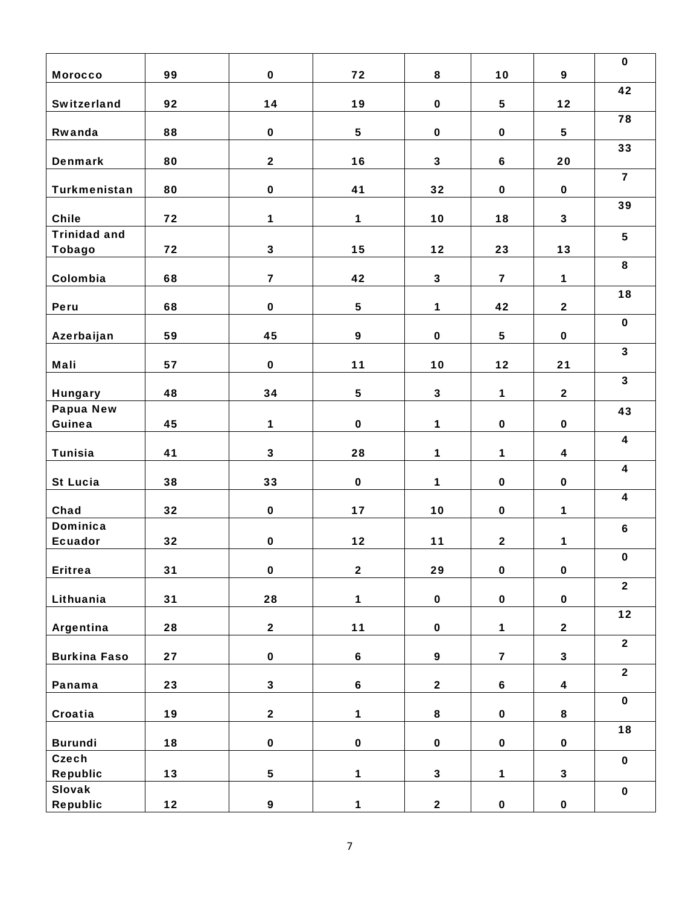| <b>Morocco</b>      | 99 | $\mathbf 0$             | 72               | 8                       | 10                      | 9                       | $\mathbf 0$             |
|---------------------|----|-------------------------|------------------|-------------------------|-------------------------|-------------------------|-------------------------|
|                     |    |                         |                  |                         |                         |                         | 42                      |
| <b>Switzerland</b>  | 92 | 14                      | 19               | $\mathbf 0$             | 5                       | 12                      | 78                      |
| Rwanda              | 88 | $\mathbf 0$             | 5                | $\mathbf 0$             | $\mathbf 0$             | 5                       |                         |
| <b>Denmark</b>      | 80 | $\overline{2}$          | 16               | 3                       | 6                       | 20                      | 33                      |
| Turkmenistan        | 80 | $\mathbf 0$             | 41               | 32                      | $\mathbf 0$             | $\mathbf 0$             | $\overline{\mathbf{z}}$ |
|                     |    |                         |                  |                         |                         |                         | 39                      |
| <b>Chile</b>        | 72 | $\mathbf{1}$            | 1                | 10                      | 18                      | 3                       |                         |
| <b>Trinidad and</b> |    |                         |                  |                         |                         |                         | 5                       |
| <b>Tobago</b>       | 72 | $\mathbf{3}$            | 15               | 12                      | 23                      | 13                      |                         |
| Colombia            | 68 | $\overline{\mathbf{z}}$ | 42               | $\mathbf{3}$            | $\overline{\mathbf{z}}$ | $\mathbf 1$             | 8                       |
| Peru                | 68 | $\mathbf 0$             | 5                | $\mathbf{1}$            | 42                      | $\overline{\mathbf{2}}$ | 18                      |
|                     |    |                         |                  |                         |                         |                         | $\mathbf 0$             |
| Azerbaijan          | 59 | 45                      | 9                | $\mathbf 0$             | 5                       | $\mathbf 0$             |                         |
| Mali                | 57 | $\mathbf 0$             | 11               | 10                      | 12                      | 21                      | $\mathbf{3}$            |
| <b>Hungary</b>      | 48 | 34                      | 5                | $\mathbf{3}$            | $\mathbf 1$             | $\mathbf{2}$            | $\mathbf{3}$            |
| <b>Papua New</b>    |    |                         |                  |                         |                         |                         | 43                      |
| Guinea              | 45 | $\mathbf 1$             | $\mathbf 0$      | $\mathbf{1}$            | $\mathbf 0$             | $\mathbf 0$             |                         |
| <b>Tunisia</b>      | 41 | $\mathbf{3}$            | 28               | $\mathbf{1}$            | $\mathbf{1}$            | $\overline{\mathbf{4}}$ | $\overline{\mathbf{4}}$ |
| <b>St Lucia</b>     | 38 | 33                      | $\mathbf 0$      | $\mathbf{1}$            | $\mathbf 0$             | $\mathbf 0$             | $\overline{\mathbf{4}}$ |
|                     |    |                         |                  |                         |                         |                         | $\overline{\mathbf{4}}$ |
| Chad                | 32 | $\mathbf 0$             | 17               | 10                      | $\mathbf 0$             | $\mathbf 1$             |                         |
| <b>Dominica</b>     |    |                         |                  |                         |                         |                         | 6                       |
| <b>Ecuador</b>      | 32 | $\mathbf 0$             | 12               | 11                      | $\overline{\mathbf{2}}$ | 1                       |                         |
| <b>Eritrea</b>      | 31 | $\mathbf 0$             | $\mathbf{2}$     | 29                      | $\mathbf 0$             | $\mathbf 0$             | $\mathbf 0$             |
|                     |    |                         |                  |                         |                         |                         | $\overline{2}$          |
| Lithuania           | 31 | 28                      | $\mathbf{1}$     | $\mathbf 0$             | $\mathbf 0$             | $\mathbf 0$             |                         |
| Argentina           | 28 | $\mathbf{2}$            | $11$             | $\mathbf 0$             | $\mathbf 1$             | $\mathbf{2}$            | 12                      |
| <b>Burkina Faso</b> | 27 | $\mathbf 0$             | $\boldsymbol{6}$ | 9                       | $\overline{\mathbf{z}}$ | $\mathbf{3}$            | $\overline{2}$          |
|                     |    |                         |                  |                         |                         |                         | $\overline{2}$          |
| Panama              | 23 | $\mathbf{3}$            | 6                | $\overline{\mathbf{2}}$ | $\boldsymbol{6}$        | 4                       |                         |
| Croatia             | 19 | $\mathbf{2}$            | $\mathbf 1$      | 8                       | $\mathbf 0$             | 8                       | $\mathbf 0$             |
| <b>Burundi</b>      | 18 | $\mathbf 0$             | $\mathbf 0$      | $\mathbf 0$             | $\mathbf 0$             | $\mathbf 0$             | 18                      |
| Czech               |    |                         |                  |                         |                         |                         | $\mathbf 0$             |
| <b>Republic</b>     | 13 | 5                       | $\mathbf{1}$     | $\mathbf{3}$            | $\mathbf 1$             | $\mathbf{3}$            |                         |
| <b>Slovak</b>       |    |                         |                  |                         |                         |                         | $\mathbf 0$             |
| <b>Republic</b>     | 12 | 9                       | $\mathbf{1}$     | $\mathbf{2}$            | $\mathbf 0$             | $\mathbf 0$             |                         |